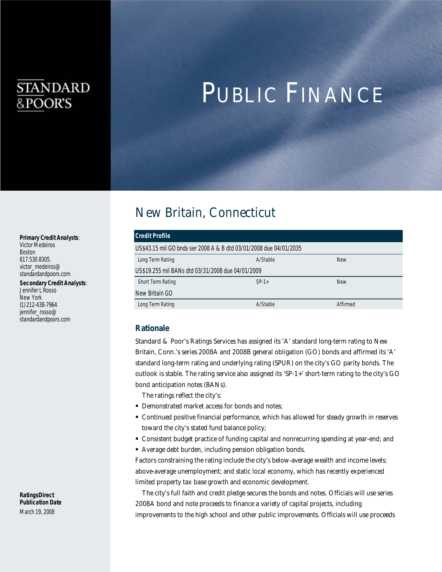# **STANDARD** &POOR'S

# PUBLIC FINANCE

# New Britain, Connecticut

| Credit Profile                                                     |          |            |  |  |
|--------------------------------------------------------------------|----------|------------|--|--|
| US\$43.15 mil GO bnds ser 2008 A & B dtd 03/01/2008 due 04/01/2035 |          |            |  |  |
| Long Term Rating                                                   | A/Stable | <b>New</b> |  |  |
| US\$19.255 mil BANs dtd 03/31/2008 due 04/01/2009                  |          |            |  |  |
| <b>Short Term Rating</b>                                           | $SP-1+$  | <b>New</b> |  |  |
| New Britain GO                                                     |          |            |  |  |
| Long Term Rating                                                   | A/Stable | Affirmed   |  |  |

## *Rationale*

Standard & Poor's Ratings Services has assigned its 'A' standard long-term rating to New Britain, Conn.'s series 2008A and 2008B general obligation (GO) bonds and affirmed its 'A' standard long-term rating and underlying rating (SPUR) on the city's GO parity bonds. The outlook is stable. The rating service also assigned its 'SP-1+' short-term rating to the city's GO bond anticipation notes (BANs).

The ratings reflect the city's:

- **Demonstrated market access for bonds and notes;**
- Continued positive financial performance, which has allowed for steady growth in reserves toward the city's stated fund balance policy;
- Consistent budget practice of funding capital and nonrecurring spending at year-end; and
- Average debt burden, including pension obligation bonds.

Factors constraining the rating include the city's below-average wealth and income levels; above-average unemployment; and static local economy, which has recently experienced limited property tax base growth and economic development.

The city's full faith and credit pledge secures the bonds and notes. Officials will use series 2008A bond and note proceeds to finance a variety of capital projects, including improvements to the high school and other public improvements. Officials will use proceeds

#### *Primary Credit Analysts*:

Victor Medeiros Boston 617.530.8305. victor\_medeiros@ standardandpoors.com

*Secondary Credit Analysts*:

Jennifer L Rosso New York (1) 212-438-7964 jennifer\_rosso@ standardandpoors.com

*RatingsDirect Publication Date*  March 19, 2008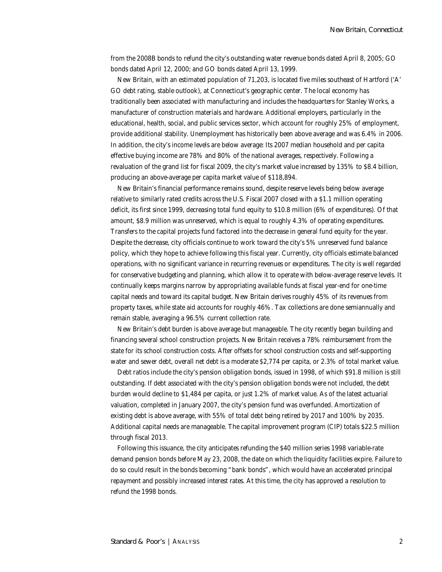from the 2008B bonds to refund the city's outstanding water revenue bonds dated April 8, 2005; GO bonds dated April 12, 2000; and GO bonds dated April 13, 1999.

New Britain, with an estimated population of 71,203, is located five miles southeast of Hartford ('A' GO debt rating, stable outlook), at Connecticut's geographic center. The local economy has traditionally been associated with manufacturing and includes the headquarters for Stanley Works, a manufacturer of construction materials and hardware. Additional employers, particularly in the educational, health, social, and public services sector, which account for roughly 25% of employment, provide additional stability. Unemployment has historically been above average and was 6.4% in 2006. In addition, the city's income levels are below average: Its 2007 median household and per capita effective buying income are 78% and 80% of the national averages, respectively. Following a revaluation of the grand list for fiscal 2009, the city's market value increased by 135% to \$8.4 billion, producing an above-average per capita market value of \$118,894.

New Britain's financial performance remains sound, despite reserve levels being below average relative to similarly rated credits across the U.S. Fiscal 2007 closed with a \$1.1 million operating deficit, its first since 1999, decreasing total fund equity to \$10.8 million (6% of expenditures). Of that amount, \$8.9 million was unreserved, which is equal to roughly 4.3% of operating expenditures. Transfers to the capital projects fund factored into the decrease in general fund equity for the year. Despite the decrease, city officials continue to work toward the city's 5% unreserved fund balance policy, which they hope to achieve following this fiscal year. Currently, city officials estimate balanced operations, with no significant variance in recurring revenues or expenditures. The city is well regarded for conservative budgeting and planning, which allow it to operate with below-average reserve levels. It continually keeps margins narrow by appropriating available funds at fiscal year-end for one-time capital needs and toward its capital budget. New Britain derives roughly 45% of its revenues from property taxes, while state aid accounts for roughly 46%. Tax collections are done semiannually and remain stable, averaging a 96.5% current collection rate.

New Britain's debt burden is above average but manageable. The city recently began building and financing several school construction projects. New Britain receives a 78% reimbursement from the state for its school construction costs. After offsets for school construction costs and self-supporting water and sewer debt, overall net debt is a moderate \$2,774 per capita, or 2.3% of total market value.

Debt ratios include the city's pension obligation bonds, issued in 1998, of which \$91.8 million is still outstanding. If debt associated with the city's pension obligation bonds were not included, the debt burden would decline to \$1,484 per capita, or just 1.2% of market value. As of the latest actuarial valuation, completed in January 2007, the city's pension fund was overfunded. Amortization of existing debt is above average, with 55% of total debt being retired by 2017 and 100% by 2035. Additional capital needs are manageable. The capital improvement program (CIP) totals \$22.5 million through fiscal 2013.

Following this issuance, the city anticipates refunding the \$40 million series 1998 variable-rate demand pension bonds before May 23, 2008, the date on which the liquidity facilities expire. Failure to do so could result in the bonds becoming "bank bonds", which would have an accelerated principal repayment and possibly increased interest rates. At this time, the city has approved a resolution to refund the 1998 bonds.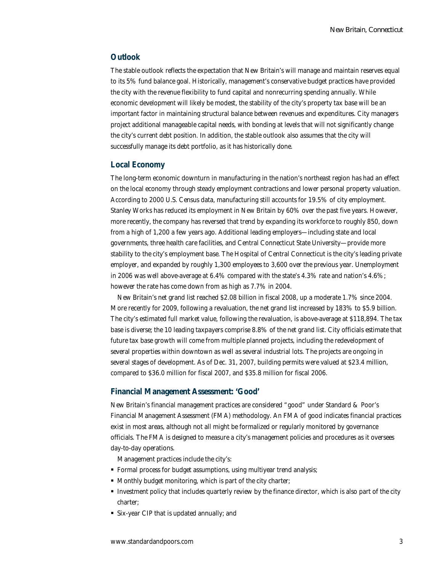## *Outlook*

The stable outlook reflects the expectation that New Britain's will manage and maintain reserves equal to its 5% fund balance goal. Historically, management's conservative budget practices have provided the city with the revenue flexibility to fund capital and nonrecurring spending annually. While economic development will likely be modest, the stability of the city's property tax base will be an important factor in maintaining structural balance between revenues and expenditures. City managers project additional manageable capital needs, with bonding at levels that will not significantly change the city's current debt position. In addition, the stable outlook also assumes that the city will successfully manage its debt portfolio, as it has historically done.

#### *Local Economy*

The long-term economic downturn in manufacturing in the nation's northeast region has had an effect on the local economy through steady employment contractions and lower personal property valuation. According to 2000 U.S. Census data, manufacturing still accounts for 19.5% of city employment. Stanley Works has reduced its employment in New Britain by 60% over the past five years. However, more recently, the company has reversed that trend by expanding its workforce to roughly 850, down from a high of 1,200 a few years ago. Additional leading employers—including state and local governments, three health care facilities, and Central Connecticut State University—provide more stability to the city's employment base. The Hospital of Central Connecticut is the city's leading private employer, and expanded by roughly 1,300 employees to 3,600 over the previous year. Unemployment in 2006 was well above-average at 6.4% compared with the state's 4.3% rate and nation's 4.6%; however the rate has come down from as high as 7.7% in 2004.

New Britain's net grand list reached \$2.08 billion in fiscal 2008, up a moderate 1.7% since 2004. More recently for 2009, following a revaluation, the net grand list increased by 183% to \$5.9 billion. The city's estimated full market value, following the revaluation, is above-average at \$118,894. The tax base is diverse; the 10 leading taxpayers comprise 8.8% of the net grand list. City officials estimate that future tax base growth will come from multiple planned projects, including the redevelopment of several properties within downtown as well as several industrial lots. The projects are ongoing in several stages of development. As of Dec. 31, 2007, building permits were valued at \$23.4 million, compared to \$36.0 million for fiscal 2007, and \$35.8 million for fiscal 2006.

#### *Financial Management Assessment: 'Good'*

New Britain's financial management practices are considered "good" under Standard & Poor's Financial Management Assessment (FMA) methodology. An FMA of good indicates financial practices exist in most areas, although not all might be formalized or regularly monitored by governance officials. The FMA is designed to measure a city's management policies and procedures as it oversees day-to-day operations.

Management practices include the city's:

- Formal process for budget assumptions, using multiyear trend analysis;
- Monthly budget monitoring, which is part of the city charter;
- Investment policy that includes quarterly review by the finance director, which is also part of the city charter;
- Six-year CIP that is updated annually; and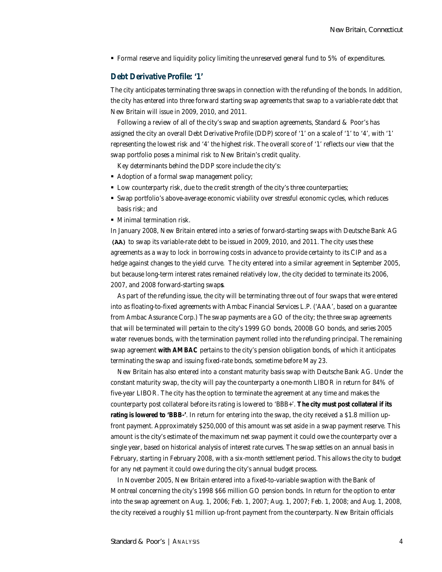• Formal reserve and liquidity policy limiting the unreserved general fund to 5% of expenditures.

### *Debt Derivative Profile: '1'*

The city anticipates terminating three swaps in connection with the refunding of the bonds. In addition, the city has entered into three forward starting swap agreements that swap to a variable-rate debt that New Britain will issue in 2009, 2010, and 2011.

Following a review of all of the city's swap and swaption agreements, Standard & Poor's has assigned the city an overall Debt Derivative Profile (DDP) score of '1' on a scale of '1' to '4', with '1' representing the lowest risk and '4' the highest risk. The overall score of '1' reflects our view that the swap portfolio poses a minimal risk to New Britain's credit quality.

Key determinants behind the DDP score include the city's:

- Adoption of a formal swap management policy;
- Low counterparty risk, due to the credit strength of the city's three counterparties;
- Swap portfolio's above-average economic viability over stressful economic cycles, which reduces basis risk; and
- $\blacksquare$  Minimal termination risk.

In January 2008, New Britain entered into a series of forward-starting swaps with Deutsche Bank AG **(AA)** to swap its variable-rate debt to be issued in 2009, 2010, and 2011. The city uses these agreements as a way to lock in borrowing costs in advance to provide certainty to its CIP and as a hedge against changes to the yield curve. The city entered into a similar agreement in September 2005, but because long-term interest rates remained relatively low, the city decided to terminate its 2006, 2007, and 2008 forward-starting swap*s*.

As part of the refunding issue, the city will be terminating three out of four swaps that were entered into as floating-to-fixed agreements with Ambac Financial Services L.P. ('AAA', based on a guarantee from Ambac Assurance Corp.) The swap payments are a GO of the city; the three swap agreements that will be terminated will pertain to the city's 1999 GO bonds, 2000B GO bonds, and series 2005 water revenues bonds, with the termination payment rolled into the refunding principal. The remaining swap agreement *with AMBAC* pertains to the city's pension obligation bonds, of which it anticipates terminating the swap and issuing fixed-rate bonds, sometime before May 23.

New Britain has also entered into a constant maturity basis swap with Deutsche Bank AG. Under the constant maturity swap, the city will pay the counterparty a one-month LIBOR in return for 84% of five-year LIBOR. The city has the option to terminate the agreement at any time and makes the counterparty post collateral before its rating is lowered to 'BBB+'. *The city must post collateral if its rating is lowered to 'BBB-'*. In return for entering into the swap, the city received a \$1.8 million upfront payment. Approximately \$250,000 of this amount was set aside in a swap payment reserve. This amount is the city's estimate of the maximum net swap payment it could owe the counterparty over a single year, based on historical analysis of interest rate curves. The swap settles on an annual basis in February, starting in February 2008, with a six-month settlement period. This allows the city to budget for any net payment it could owe during the city's annual budget process.

In November 2005, New Britain entered into a fixed-to-variable swaption with the Bank of Montreal concerning the city's 1998 \$66 million GO pension bonds. In return for the option to enter into the swap agreement on Aug. 1, 2006; Feb. 1, 2007; Aug. 1, 2007; Feb. 1, 2008; and Aug. 1, 2008, the city received a roughly \$1 million up-front payment from the counterparty. New Britain officials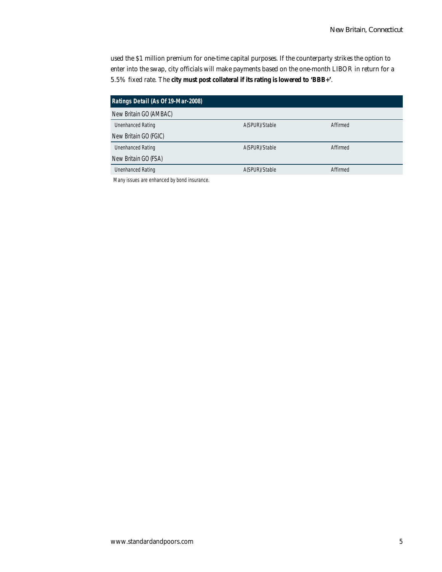used the \$1 million premium for one-time capital purposes. If the counterparty strikes the option to enter into the swap, city officials will make payments based on the one-month LIBOR in return for a 5.5% fixed rate. The *city must post collateral if its rating is lowered to 'BBB+'*.

| Ratings Detail (As Of 19-Mar-2008) |                |          |  |
|------------------------------------|----------------|----------|--|
| New Britain GO (AMBAC)             |                |          |  |
| <b>Unenhanced Rating</b>           | A(SPUR)/Stable | Affirmed |  |
| New Britain GO (FGIC)              |                |          |  |
| <b>Unenhanced Rating</b>           | A(SPUR)/Stable | Affirmed |  |
| New Britain GO (FSA)               |                |          |  |
| <b>Unenhanced Rating</b>           | A(SPUR)/Stable | Affirmed |  |

Many issues are enhanced by bond insurance.